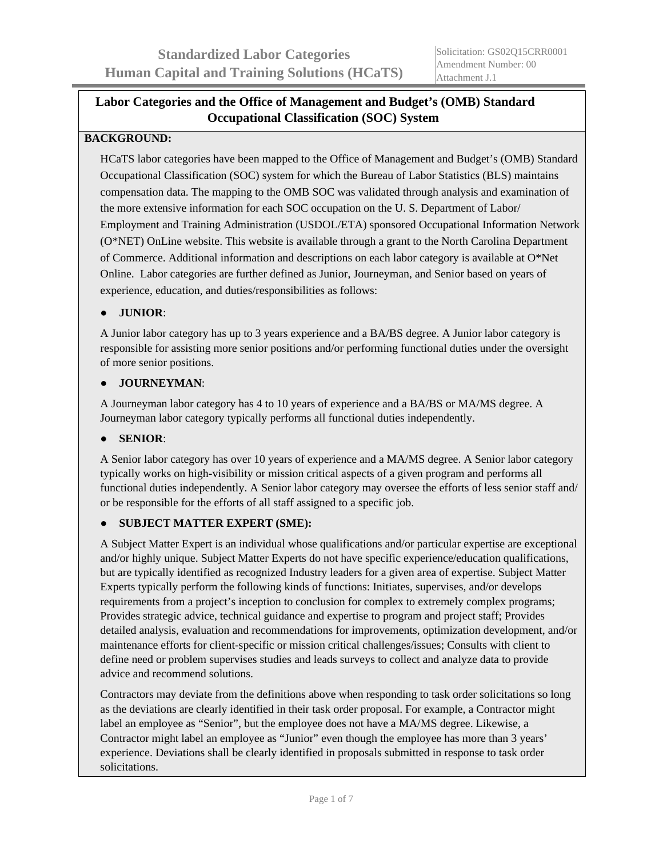# **Labor Categories and the Office of Management and Budget's (OMB) Standard Occupational Classification (SOC) System**

# **BACKGROUND:**

HCaTS labor categories have been mapped to the Office of Management and Budget's (OMB) Standard Occupational Classification (SOC) system for which the Bureau of Labor Statistics (BLS) maintains compensation data. The mapping to the OMB SOC was validated through analysis and examination of the more extensive information for each SOC occupation on the U. S. Department of Labor/ Employment and Training Administration (USDOL/ETA) sponsored Occupational Information Network (O\*NET) OnLine website. This website is available through a grant to the North Carolina Department of Commerce. Additional information and descriptions on each labor category is available at  $O^*$ Net Online. Labor categories are further defined as Junior, Journeyman, and Senior based on years of experience, education, and duties/responsibilities as follows:

# ● **JUNIOR**:

A Junior labor category has up to 3 years experience and a BA/BS degree. A Junior labor category is responsible for assisting more senior positions and/or performing functional duties under the oversight of more senior positions.

#### ● **JOURNEYMAN**:

A Journeyman labor category has 4 to 10 years of experience and a BA/BS or MA/MS degree. A Journeyman labor category typically performs all functional duties independently.

## ● **SENIOR**:

A Senior labor category has over 10 years of experience and a MA/MS degree. A Senior labor category typically works on high-visibility or mission critical aspects of a given program and performs all functional duties independently. A Senior labor category may oversee the efforts of less senior staff and/ or be responsible for the efforts of all staff assigned to a specific job.

## ● **SUBJECT MATTER EXPERT (SME):**

A Subject Matter Expert is an individual whose qualifications and/or particular expertise are exceptional and/or highly unique. Subject Matter Experts do not have specific experience/education qualifications, but are typically identified as recognized Industry leaders for a given area of expertise. Subject Matter Experts typically perform the following kinds of functions: Initiates, supervises, and/or develops requirements from a project's inception to conclusion for complex to extremely complex programs; Provides strategic advice, technical guidance and expertise to program and project staff; Provides detailed analysis, evaluation and recommendations for improvements, optimization development, and/or maintenance efforts for client-specific or mission critical challenges/issues; Consults with client to define need or problem supervises studies and leads surveys to collect and analyze data to provide advice and recommend solutions.

Contractors may deviate from the definitions above when responding to task order solicitations so long as the deviations are clearly identified in their task order proposal. For example, a Contractor might label an employee as "Senior", but the employee does not have a MA/MS degree. Likewise, a Contractor might label an employee as "Junior" even though the employee has more than 3 years' experience. Deviations shall be clearly identified in proposals submitted in response to task order solicitations.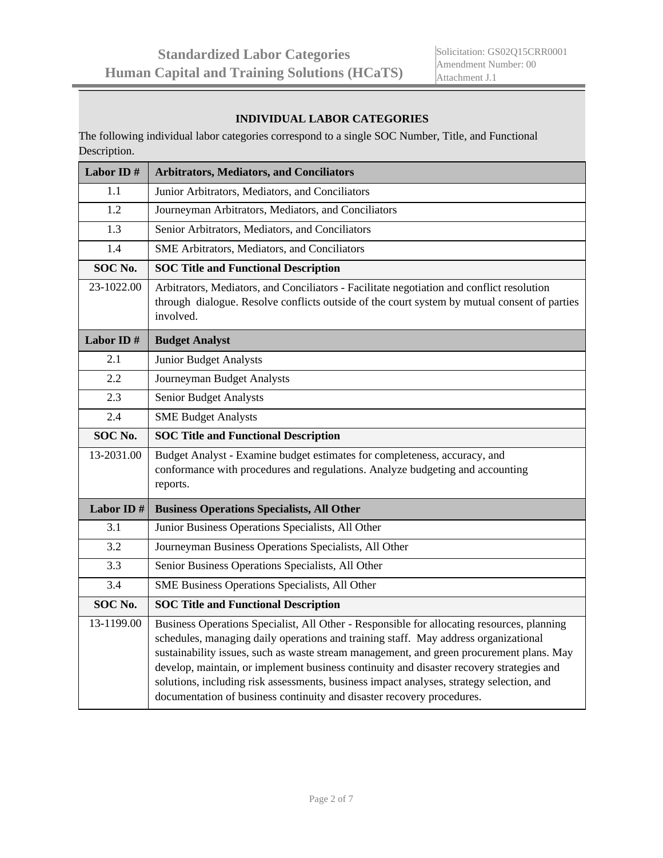#### **INDIVIDUAL LABOR CATEGORIES**

The following individual labor categories correspond to a single SOC Number, Title, and Functional Description.

| Labor ID#  | <b>Arbitrators, Mediators, and Conciliators</b>                                                                                                                                                                                                                                                                                                                                                                                                                                                                                                 |
|------------|-------------------------------------------------------------------------------------------------------------------------------------------------------------------------------------------------------------------------------------------------------------------------------------------------------------------------------------------------------------------------------------------------------------------------------------------------------------------------------------------------------------------------------------------------|
| $1.1\,$    | Junior Arbitrators, Mediators, and Conciliators                                                                                                                                                                                                                                                                                                                                                                                                                                                                                                 |
| 1.2        | Journeyman Arbitrators, Mediators, and Conciliators                                                                                                                                                                                                                                                                                                                                                                                                                                                                                             |
| 1.3        | Senior Arbitrators, Mediators, and Conciliators                                                                                                                                                                                                                                                                                                                                                                                                                                                                                                 |
| 1.4        | SME Arbitrators, Mediators, and Conciliators                                                                                                                                                                                                                                                                                                                                                                                                                                                                                                    |
| SOC No.    | <b>SOC Title and Functional Description</b>                                                                                                                                                                                                                                                                                                                                                                                                                                                                                                     |
| 23-1022.00 | Arbitrators, Mediators, and Conciliators - Facilitate negotiation and conflict resolution<br>through dialogue. Resolve conflicts outside of the court system by mutual consent of parties<br>involved.                                                                                                                                                                                                                                                                                                                                          |
| Labor ID#  | <b>Budget Analyst</b>                                                                                                                                                                                                                                                                                                                                                                                                                                                                                                                           |
| 2.1        | Junior Budget Analysts                                                                                                                                                                                                                                                                                                                                                                                                                                                                                                                          |
| 2.2        | Journeyman Budget Analysts                                                                                                                                                                                                                                                                                                                                                                                                                                                                                                                      |
| 2.3        | Senior Budget Analysts                                                                                                                                                                                                                                                                                                                                                                                                                                                                                                                          |
| 2.4        | <b>SME Budget Analysts</b>                                                                                                                                                                                                                                                                                                                                                                                                                                                                                                                      |
| SOC No.    | <b>SOC Title and Functional Description</b>                                                                                                                                                                                                                                                                                                                                                                                                                                                                                                     |
| 13-2031.00 | Budget Analyst - Examine budget estimates for completeness, accuracy, and<br>conformance with procedures and regulations. Analyze budgeting and accounting<br>reports.                                                                                                                                                                                                                                                                                                                                                                          |
| Labor ID#  | <b>Business Operations Specialists, All Other</b>                                                                                                                                                                                                                                                                                                                                                                                                                                                                                               |
| 3.1        | Junior Business Operations Specialists, All Other                                                                                                                                                                                                                                                                                                                                                                                                                                                                                               |
| 3.2        | Journeyman Business Operations Specialists, All Other                                                                                                                                                                                                                                                                                                                                                                                                                                                                                           |
| 3.3        | Senior Business Operations Specialists, All Other                                                                                                                                                                                                                                                                                                                                                                                                                                                                                               |
| 3.4        | SME Business Operations Specialists, All Other                                                                                                                                                                                                                                                                                                                                                                                                                                                                                                  |
| SOC No.    | <b>SOC Title and Functional Description</b>                                                                                                                                                                                                                                                                                                                                                                                                                                                                                                     |
| 13-1199.00 | Business Operations Specialist, All Other - Responsible for allocating resources, planning<br>schedules, managing daily operations and training staff. May address organizational<br>sustainability issues, such as waste stream management, and green procurement plans. May<br>develop, maintain, or implement business continuity and disaster recovery strategies and<br>solutions, including risk assessments, business impact analyses, strategy selection, and<br>documentation of business continuity and disaster recovery procedures. |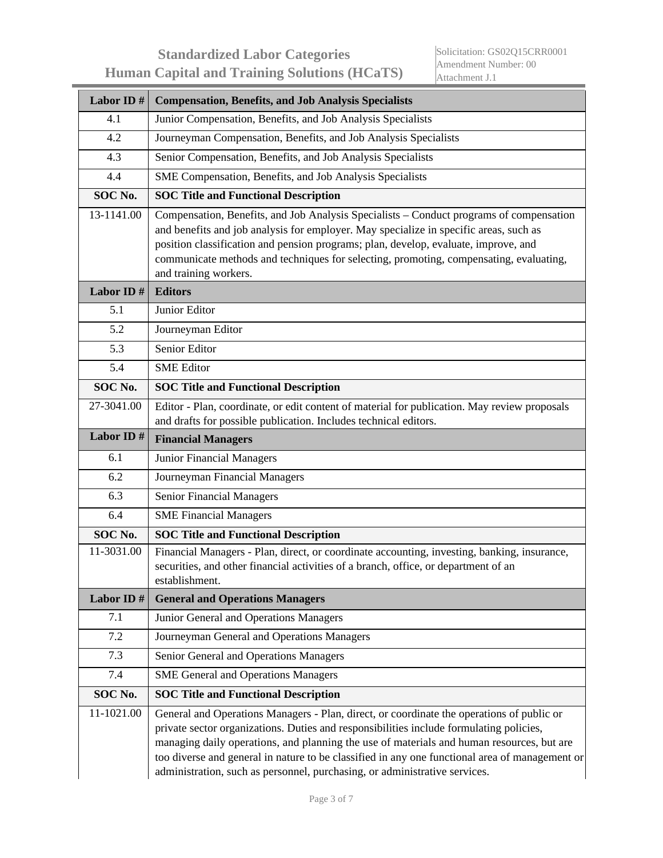| Labor ID#  | <b>Compensation, Benefits, and Job Analysis Specialists</b>                                                                                                                                                                                                                                                                                                                                                                                                       |
|------------|-------------------------------------------------------------------------------------------------------------------------------------------------------------------------------------------------------------------------------------------------------------------------------------------------------------------------------------------------------------------------------------------------------------------------------------------------------------------|
| 4.1        | Junior Compensation, Benefits, and Job Analysis Specialists                                                                                                                                                                                                                                                                                                                                                                                                       |
| 4.2        | Journeyman Compensation, Benefits, and Job Analysis Specialists                                                                                                                                                                                                                                                                                                                                                                                                   |
| 4.3        | Senior Compensation, Benefits, and Job Analysis Specialists                                                                                                                                                                                                                                                                                                                                                                                                       |
| 4.4        | SME Compensation, Benefits, and Job Analysis Specialists                                                                                                                                                                                                                                                                                                                                                                                                          |
| SOC No.    | <b>SOC Title and Functional Description</b>                                                                                                                                                                                                                                                                                                                                                                                                                       |
| 13-1141.00 | Compensation, Benefits, and Job Analysis Specialists – Conduct programs of compensation<br>and benefits and job analysis for employer. May specialize in specific areas, such as<br>position classification and pension programs; plan, develop, evaluate, improve, and<br>communicate methods and techniques for selecting, promoting, compensating, evaluating,<br>and training workers.                                                                        |
| Labor ID#  | <b>Editors</b>                                                                                                                                                                                                                                                                                                                                                                                                                                                    |
| 5.1        | Junior Editor                                                                                                                                                                                                                                                                                                                                                                                                                                                     |
| 5.2        | Journeyman Editor                                                                                                                                                                                                                                                                                                                                                                                                                                                 |
| 5.3        | Senior Editor                                                                                                                                                                                                                                                                                                                                                                                                                                                     |
| 5.4        | <b>SME</b> Editor                                                                                                                                                                                                                                                                                                                                                                                                                                                 |
| SOC No.    | <b>SOC Title and Functional Description</b>                                                                                                                                                                                                                                                                                                                                                                                                                       |
| 27-3041.00 | Editor - Plan, coordinate, or edit content of material for publication. May review proposals<br>and drafts for possible publication. Includes technical editors.                                                                                                                                                                                                                                                                                                  |
| Labor ID#  | <b>Financial Managers</b>                                                                                                                                                                                                                                                                                                                                                                                                                                         |
| 6.1        | Junior Financial Managers                                                                                                                                                                                                                                                                                                                                                                                                                                         |
| 6.2        | Journeyman Financial Managers                                                                                                                                                                                                                                                                                                                                                                                                                                     |
| 6.3        | Senior Financial Managers                                                                                                                                                                                                                                                                                                                                                                                                                                         |
| 6.4        | <b>SME Financial Managers</b>                                                                                                                                                                                                                                                                                                                                                                                                                                     |
| SOC No.    | <b>SOC Title and Functional Description</b>                                                                                                                                                                                                                                                                                                                                                                                                                       |
| 11-3031.00 | Financial Managers - Plan, direct, or coordinate accounting, investing, banking, insurance,<br>securities, and other financial activities of a branch, office, or department of an<br>establishment.                                                                                                                                                                                                                                                              |
| Labor ID#  | <b>General and Operations Managers</b>                                                                                                                                                                                                                                                                                                                                                                                                                            |
| 7.1        | Junior General and Operations Managers                                                                                                                                                                                                                                                                                                                                                                                                                            |
| 7.2        | Journeyman General and Operations Managers                                                                                                                                                                                                                                                                                                                                                                                                                        |
| 7.3        | Senior General and Operations Managers                                                                                                                                                                                                                                                                                                                                                                                                                            |
| 7.4        | <b>SME General and Operations Managers</b>                                                                                                                                                                                                                                                                                                                                                                                                                        |
| SOC No.    | <b>SOC Title and Functional Description</b>                                                                                                                                                                                                                                                                                                                                                                                                                       |
| 11-1021.00 | General and Operations Managers - Plan, direct, or coordinate the operations of public or<br>private sector organizations. Duties and responsibilities include formulating policies,<br>managing daily operations, and planning the use of materials and human resources, but are<br>too diverse and general in nature to be classified in any one functional area of management or<br>administration, such as personnel, purchasing, or administrative services. |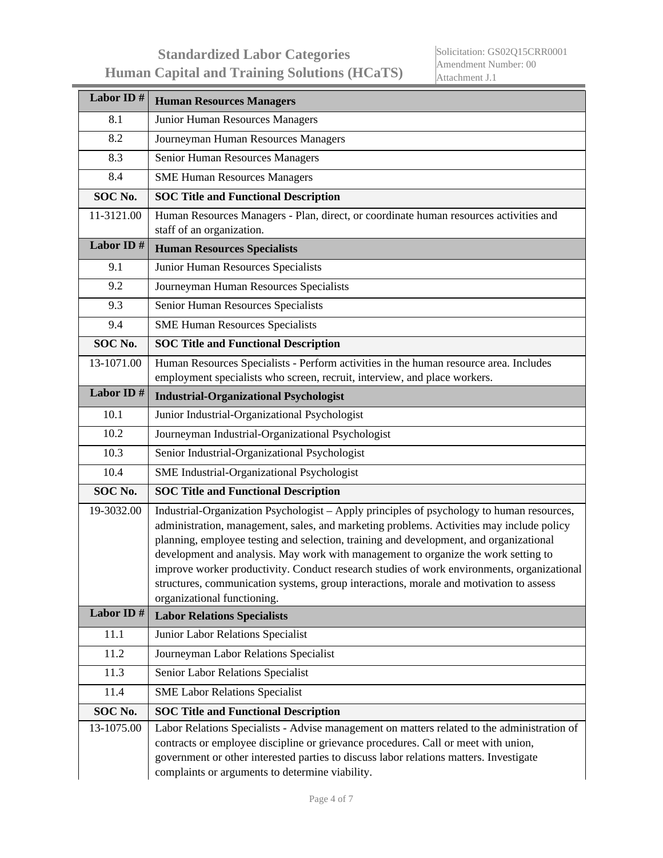| Labor ID#  | <b>Human Resources Managers</b>                                                                                                                                                                                                                                                                                                                                                                                                                                                                                                                                                              |
|------------|----------------------------------------------------------------------------------------------------------------------------------------------------------------------------------------------------------------------------------------------------------------------------------------------------------------------------------------------------------------------------------------------------------------------------------------------------------------------------------------------------------------------------------------------------------------------------------------------|
| 8.1        | Junior Human Resources Managers                                                                                                                                                                                                                                                                                                                                                                                                                                                                                                                                                              |
| 8.2        | Journeyman Human Resources Managers                                                                                                                                                                                                                                                                                                                                                                                                                                                                                                                                                          |
| 8.3        | Senior Human Resources Managers                                                                                                                                                                                                                                                                                                                                                                                                                                                                                                                                                              |
| 8.4        | <b>SME Human Resources Managers</b>                                                                                                                                                                                                                                                                                                                                                                                                                                                                                                                                                          |
| SOC No.    | <b>SOC</b> Title and Functional Description                                                                                                                                                                                                                                                                                                                                                                                                                                                                                                                                                  |
| 11-3121.00 | Human Resources Managers - Plan, direct, or coordinate human resources activities and<br>staff of an organization.                                                                                                                                                                                                                                                                                                                                                                                                                                                                           |
| Labor ID#  | <b>Human Resources Specialists</b>                                                                                                                                                                                                                                                                                                                                                                                                                                                                                                                                                           |
| 9.1        | Junior Human Resources Specialists                                                                                                                                                                                                                                                                                                                                                                                                                                                                                                                                                           |
| 9.2        | Journeyman Human Resources Specialists                                                                                                                                                                                                                                                                                                                                                                                                                                                                                                                                                       |
| 9.3        | Senior Human Resources Specialists                                                                                                                                                                                                                                                                                                                                                                                                                                                                                                                                                           |
| 9.4        | <b>SME Human Resources Specialists</b>                                                                                                                                                                                                                                                                                                                                                                                                                                                                                                                                                       |
| SOC No.    | <b>SOC Title and Functional Description</b>                                                                                                                                                                                                                                                                                                                                                                                                                                                                                                                                                  |
| 13-1071.00 | Human Resources Specialists - Perform activities in the human resource area. Includes<br>employment specialists who screen, recruit, interview, and place workers.                                                                                                                                                                                                                                                                                                                                                                                                                           |
| Labor ID#  | <b>Industrial-Organizational Psychologist</b>                                                                                                                                                                                                                                                                                                                                                                                                                                                                                                                                                |
| 10.1       | Junior Industrial-Organizational Psychologist                                                                                                                                                                                                                                                                                                                                                                                                                                                                                                                                                |
| 10.2       | Journeyman Industrial-Organizational Psychologist                                                                                                                                                                                                                                                                                                                                                                                                                                                                                                                                            |
| 10.3       | Senior Industrial-Organizational Psychologist                                                                                                                                                                                                                                                                                                                                                                                                                                                                                                                                                |
| 10.4       | SME Industrial-Organizational Psychologist                                                                                                                                                                                                                                                                                                                                                                                                                                                                                                                                                   |
| SOC No.    | <b>SOC Title and Functional Description</b>                                                                                                                                                                                                                                                                                                                                                                                                                                                                                                                                                  |
| 19-3032.00 | Industrial-Organization Psychologist - Apply principles of psychology to human resources,<br>administration, management, sales, and marketing problems. Activities may include policy<br>planning, employee testing and selection, training and development, and organizational<br>development and analysis. May work with management to organize the work setting to<br>improve worker productivity. Conduct research studies of work environments, organizational<br>structures, communication systems, group interactions, morale and motivation to assess<br>organizational functioning. |
| Labor ID#  | <b>Labor Relations Specialists</b>                                                                                                                                                                                                                                                                                                                                                                                                                                                                                                                                                           |
| 11.1       | Junior Labor Relations Specialist                                                                                                                                                                                                                                                                                                                                                                                                                                                                                                                                                            |
| 11.2       | Journeyman Labor Relations Specialist                                                                                                                                                                                                                                                                                                                                                                                                                                                                                                                                                        |
| 11.3       | Senior Labor Relations Specialist                                                                                                                                                                                                                                                                                                                                                                                                                                                                                                                                                            |
| 11.4       | <b>SME Labor Relations Specialist</b>                                                                                                                                                                                                                                                                                                                                                                                                                                                                                                                                                        |
| SOC No.    | <b>SOC Title and Functional Description</b>                                                                                                                                                                                                                                                                                                                                                                                                                                                                                                                                                  |
| 13-1075.00 | Labor Relations Specialists - Advise management on matters related to the administration of<br>contracts or employee discipline or grievance procedures. Call or meet with union,<br>government or other interested parties to discuss labor relations matters. Investigate<br>complaints or arguments to determine viability.                                                                                                                                                                                                                                                               |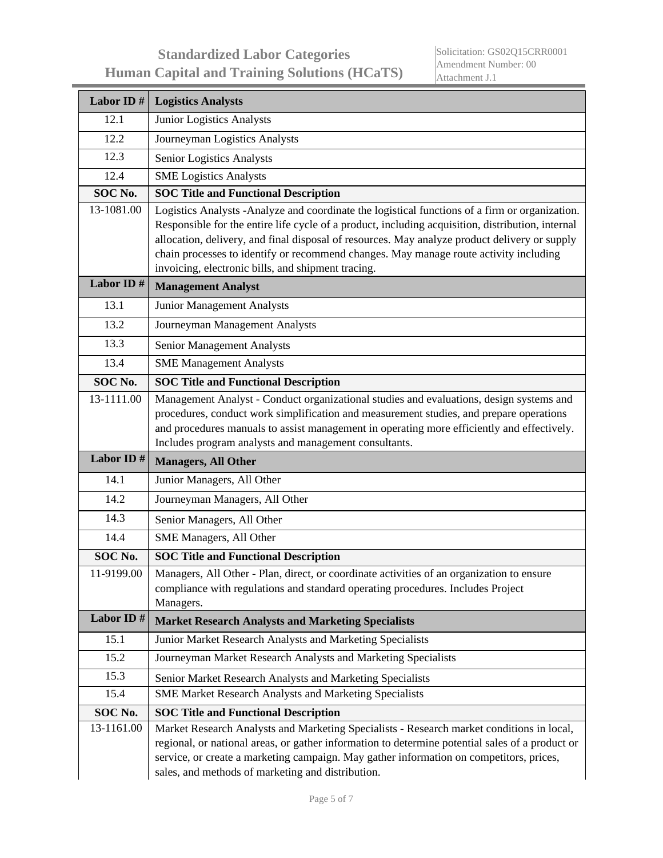| Labor ID#  | <b>Logistics Analysts</b>                                                                                                                                                                                                                                                                                                                                                                                                                            |
|------------|------------------------------------------------------------------------------------------------------------------------------------------------------------------------------------------------------------------------------------------------------------------------------------------------------------------------------------------------------------------------------------------------------------------------------------------------------|
| 12.1       | Junior Logistics Analysts                                                                                                                                                                                                                                                                                                                                                                                                                            |
| 12.2       | Journeyman Logistics Analysts                                                                                                                                                                                                                                                                                                                                                                                                                        |
| 12.3       | Senior Logistics Analysts                                                                                                                                                                                                                                                                                                                                                                                                                            |
| 12.4       | <b>SME Logistics Analysts</b>                                                                                                                                                                                                                                                                                                                                                                                                                        |
| SOC No.    | <b>SOC Title and Functional Description</b>                                                                                                                                                                                                                                                                                                                                                                                                          |
| 13-1081.00 | Logistics Analysts - Analyze and coordinate the logistical functions of a firm or organization.<br>Responsible for the entire life cycle of a product, including acquisition, distribution, internal<br>allocation, delivery, and final disposal of resources. May analyze product delivery or supply<br>chain processes to identify or recommend changes. May manage route activity including<br>invoicing, electronic bills, and shipment tracing. |
| Labor ID#  | <b>Management Analyst</b>                                                                                                                                                                                                                                                                                                                                                                                                                            |
| 13.1       | Junior Management Analysts                                                                                                                                                                                                                                                                                                                                                                                                                           |
| 13.2       | Journeyman Management Analysts                                                                                                                                                                                                                                                                                                                                                                                                                       |
| 13.3       | Senior Management Analysts                                                                                                                                                                                                                                                                                                                                                                                                                           |
| 13.4       | <b>SME Management Analysts</b>                                                                                                                                                                                                                                                                                                                                                                                                                       |
| SOC No.    | <b>SOC Title and Functional Description</b>                                                                                                                                                                                                                                                                                                                                                                                                          |
| 13-1111.00 | Management Analyst - Conduct organizational studies and evaluations, design systems and<br>procedures, conduct work simplification and measurement studies, and prepare operations<br>and procedures manuals to assist management in operating more efficiently and effectively.<br>Includes program analysts and management consultants.                                                                                                            |
| Labor ID#  | <b>Managers, All Other</b>                                                                                                                                                                                                                                                                                                                                                                                                                           |
| 14.1       | Junior Managers, All Other                                                                                                                                                                                                                                                                                                                                                                                                                           |
| 14.2       | Journeyman Managers, All Other                                                                                                                                                                                                                                                                                                                                                                                                                       |
| 14.3       | Senior Managers, All Other                                                                                                                                                                                                                                                                                                                                                                                                                           |
| 14.4       | SME Managers, All Other                                                                                                                                                                                                                                                                                                                                                                                                                              |
| SOC No.    | <b>SOC Title and Functional Description</b>                                                                                                                                                                                                                                                                                                                                                                                                          |
| 11-9199.00 | Managers, All Other - Plan, direct, or coordinate activities of an organization to ensure<br>compliance with regulations and standard operating procedures. Includes Project<br>Managers.                                                                                                                                                                                                                                                            |
| Labor ID#  | <b>Market Research Analysts and Marketing Specialists</b>                                                                                                                                                                                                                                                                                                                                                                                            |
| 15.1       | Junior Market Research Analysts and Marketing Specialists                                                                                                                                                                                                                                                                                                                                                                                            |
| 15.2       | Journeyman Market Research Analysts and Marketing Specialists                                                                                                                                                                                                                                                                                                                                                                                        |
| 15.3       | Senior Market Research Analysts and Marketing Specialists                                                                                                                                                                                                                                                                                                                                                                                            |
| 15.4       | SME Market Research Analysts and Marketing Specialists                                                                                                                                                                                                                                                                                                                                                                                               |
| SOC No.    | <b>SOC Title and Functional Description</b>                                                                                                                                                                                                                                                                                                                                                                                                          |
| 13-1161.00 | Market Research Analysts and Marketing Specialists - Research market conditions in local,<br>regional, or national areas, or gather information to determine potential sales of a product or<br>service, or create a marketing campaign. May gather information on competitors, prices,<br>sales, and methods of marketing and distribution.                                                                                                         |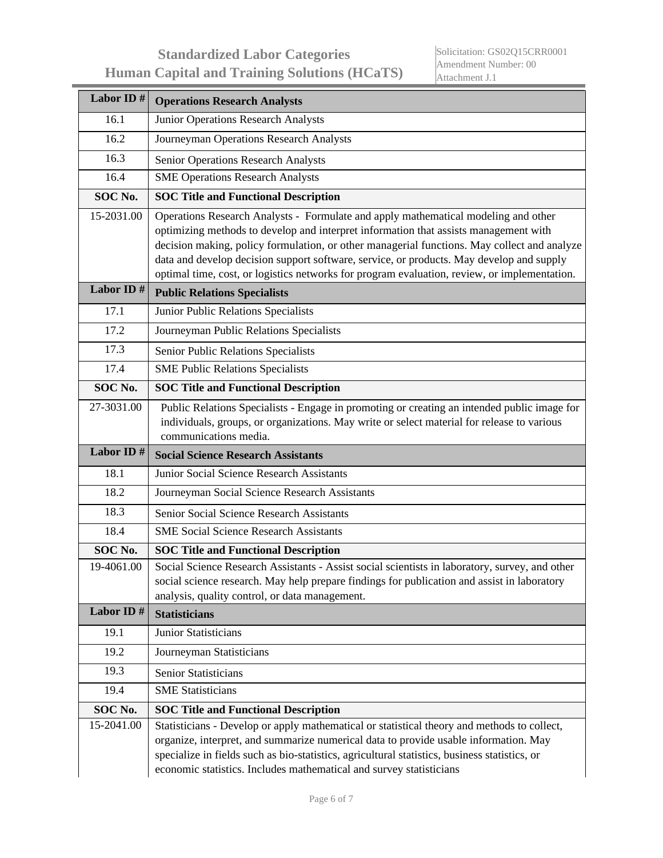| Labor ID#  | <b>Operations Research Analysts</b>                                                                                                                                                                                                                                                                                                                                                                                                                                   |
|------------|-----------------------------------------------------------------------------------------------------------------------------------------------------------------------------------------------------------------------------------------------------------------------------------------------------------------------------------------------------------------------------------------------------------------------------------------------------------------------|
| 16.1       | Junior Operations Research Analysts                                                                                                                                                                                                                                                                                                                                                                                                                                   |
| 16.2       | Journeyman Operations Research Analysts                                                                                                                                                                                                                                                                                                                                                                                                                               |
| 16.3       | Senior Operations Research Analysts                                                                                                                                                                                                                                                                                                                                                                                                                                   |
| 16.4       | <b>SME Operations Research Analysts</b>                                                                                                                                                                                                                                                                                                                                                                                                                               |
| SOC No.    | <b>SOC Title and Functional Description</b>                                                                                                                                                                                                                                                                                                                                                                                                                           |
| 15-2031.00 | Operations Research Analysts - Formulate and apply mathematical modeling and other<br>optimizing methods to develop and interpret information that assists management with<br>decision making, policy formulation, or other managerial functions. May collect and analyze<br>data and develop decision support software, service, or products. May develop and supply<br>optimal time, cost, or logistics networks for program evaluation, review, or implementation. |
| Labor ID#  | <b>Public Relations Specialists</b>                                                                                                                                                                                                                                                                                                                                                                                                                                   |
| 17.1       | Junior Public Relations Specialists                                                                                                                                                                                                                                                                                                                                                                                                                                   |
| 17.2       | Journeyman Public Relations Specialists                                                                                                                                                                                                                                                                                                                                                                                                                               |
| 17.3       | Senior Public Relations Specialists                                                                                                                                                                                                                                                                                                                                                                                                                                   |
| 17.4       | <b>SME Public Relations Specialists</b>                                                                                                                                                                                                                                                                                                                                                                                                                               |
| SOC No.    | <b>SOC Title and Functional Description</b>                                                                                                                                                                                                                                                                                                                                                                                                                           |
| 27-3031.00 | Public Relations Specialists - Engage in promoting or creating an intended public image for<br>individuals, groups, or organizations. May write or select material for release to various<br>communications media.                                                                                                                                                                                                                                                    |
| Labor ID#  | <b>Social Science Research Assistants</b>                                                                                                                                                                                                                                                                                                                                                                                                                             |
| 18.1       | Junior Social Science Research Assistants                                                                                                                                                                                                                                                                                                                                                                                                                             |
| 18.2       | Journeyman Social Science Research Assistants                                                                                                                                                                                                                                                                                                                                                                                                                         |
| 18.3       | Senior Social Science Research Assistants                                                                                                                                                                                                                                                                                                                                                                                                                             |
| 18.4       | <b>SME Social Science Research Assistants</b>                                                                                                                                                                                                                                                                                                                                                                                                                         |
| SOC No.    | <b>SOC Title and Functional Description</b>                                                                                                                                                                                                                                                                                                                                                                                                                           |
| 19-4061.00 | Social Science Research Assistants - Assist social scientists in laboratory, survey, and other<br>social science research. May help prepare findings for publication and assist in laboratory<br>analysis, quality control, or data management.                                                                                                                                                                                                                       |
| Labor ID#  | <b>Statisticians</b>                                                                                                                                                                                                                                                                                                                                                                                                                                                  |
| 19.1       | <b>Junior Statisticians</b>                                                                                                                                                                                                                                                                                                                                                                                                                                           |
| 19.2       | Journeyman Statisticians                                                                                                                                                                                                                                                                                                                                                                                                                                              |
| 19.3       | <b>Senior Statisticians</b>                                                                                                                                                                                                                                                                                                                                                                                                                                           |
| 19.4       | <b>SME</b> Statisticians                                                                                                                                                                                                                                                                                                                                                                                                                                              |
| SOC No.    | <b>SOC Title and Functional Description</b>                                                                                                                                                                                                                                                                                                                                                                                                                           |
| 15-2041.00 | Statisticians - Develop or apply mathematical or statistical theory and methods to collect,<br>organize, interpret, and summarize numerical data to provide usable information. May<br>specialize in fields such as bio-statistics, agricultural statistics, business statistics, or<br>economic statistics. Includes mathematical and survey statisticians                                                                                                           |